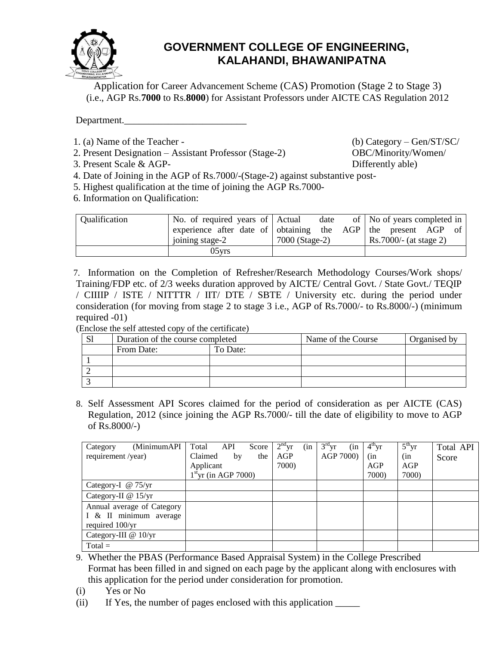

## **GOVERNMENT COLLEGE OF ENGINEERING, KALAHANDI, BHAWANIPATNA**

Application for Career Advancement Scheme (CAS) Promotion (Stage 2 to Stage 3) (i.e., AGP Rs.**7000** to Rs.**8000**) for Assistant Professors under AICTE CAS Regulation 2012

Department.

- 1. (a) Name of the Teacher (b) Category Gen/ST/SC/
- 2. Present Designation Assistant Professor (Stage-2) OBC/Minority/Women/
- 3. Present Scale & AGP- Differently able)

- 4. Date of Joining in the AGP of Rs.7000/-(Stage-2) against substantive post-
- 5. Highest qualification at the time of joining the AGP Rs.7000-
- 6. Information on Qualification:

| <b>Oualification</b> | No. of required years of Actual                               | date           |  | of   No of years completed in |  |  |
|----------------------|---------------------------------------------------------------|----------------|--|-------------------------------|--|--|
|                      | experience after date of obtaining the AGP the present AGP of |                |  |                               |  |  |
|                      | joining stage-2                                               | 7000 (Stage-2) |  | $Rs.7000/-(at stage 2)$       |  |  |
|                      | $05$ vrs                                                      |                |  |                               |  |  |

7. Information on the Completion of Refresher/Research Methodology Courses/Work shops/ Training/FDP etc. of 2/3 weeks duration approved by AICTE/ Central Govt. / State Govt./ TEQIP / CIIIIP / ISTE / NITTTR / IIT/ DTE / SBTE / University etc. during the period under consideration (for moving from stage 2 to stage 3 i.e., AGP of Rs.7000/- to Rs.8000/-) (minimum required -01)

(Enclose the self attested copy of the certificate)

| Duration of the course completed |          | Name of the Course | Organised by |
|----------------------------------|----------|--------------------|--------------|
| From Date:                       | To Date: |                    |              |
|                                  |          |                    |              |
|                                  |          |                    |              |
|                                  |          |                    |              |

8. Self Assessment API Scores claimed for the period of consideration as per AICTE (CAS) Regulation, 2012 (since joining the AGP Rs.7000/- till the date of eligibility to move to AGP of Rs.8000/-)

| (MinimumAPI<br>Category    | Total<br>Score<br>API  | $2nd$ yr<br>(in | $3rd$ yr<br>(in | $4th$ yr | $5^{\text{th}}$ yr | Total API |
|----------------------------|------------------------|-----------------|-----------------|----------|--------------------|-----------|
| requirement /year)         | Claimed<br>by<br>the   | AGP             | AGP 7000)       | (in      | (in                | Score     |
|                            | Applicant              | 7000)           |                 | AGP      | AGP                |           |
|                            | $1st$ yr (in AGP 7000) |                 |                 | 7000)    | 7000)              |           |
| Category-I @ 75/yr         |                        |                 |                 |          |                    |           |
| Category-II @ 15/yr        |                        |                 |                 |          |                    |           |
| Annual average of Category |                        |                 |                 |          |                    |           |
| I & II minimum average     |                        |                 |                 |          |                    |           |
| required 100/yr            |                        |                 |                 |          |                    |           |
| Category-III @ 10/yr       |                        |                 |                 |          |                    |           |
| $Total =$                  |                        |                 |                 |          |                    |           |

- 9. Whether the PBAS (Performance Based Appraisal System) in the College Prescribed Format has been filled in and signed on each page by the applicant along with enclosures with this application for the period under consideration for promotion.
- (i) Yes or No
- (ii) If Yes, the number of pages enclosed with this application \_\_\_\_\_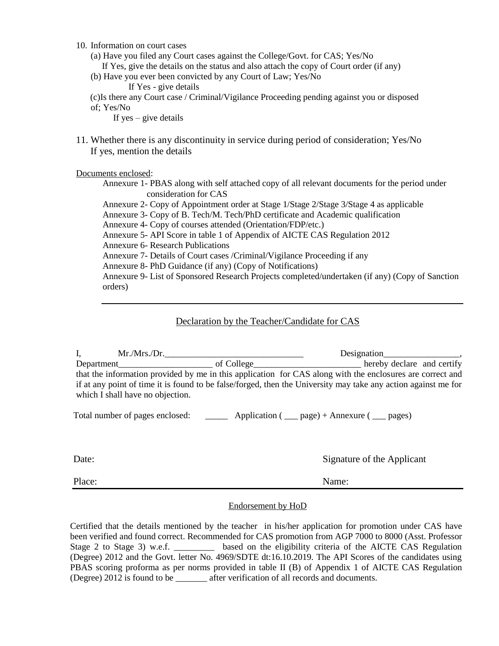- 10. Information on court cases
	- (a) Have you filed any Court cases against the College/Govt. for CAS; Yes/No
	- If Yes, give the details on the status and also attach the copy of Court order (if any)
	- (b) Have you ever been convicted by any Court of Law; Yes/No
		- If Yes give details

(c)Is there any Court case / Criminal/Vigilance Proceeding pending against you or disposed of; Yes/No

If yes  $-$  give details

11. Whether there is any discontinuity in service during period of consideration; Yes/No If yes, mention the details

Documents enclosed:

Annexure 1- PBAS along with self attached copy of all relevant documents for the period under consideration for CAS

Annexure 2- Copy of Appointment order at Stage 1/Stage 2/Stage 3/Stage 4 as applicable Annexure 3- Copy of B. Tech/M. Tech/PhD certificate and Academic qualification Annexure 4- Copy of courses attended (Orientation/FDP/etc.) Annexure 5- API Score in table 1 of Appendix of AICTE CAS Regulation 2012 Annexure 6- Research Publications Annexure 7- Details of Court cases /Criminal/Vigilance Proceeding if any Annexure 8- PhD Guidance (if any) (Copy of Notifications)

Annexure 9- List of Sponsored Research Projects completed/undertaken (if any) (Copy of Sanction orders)

## Declaration by the Teacher/Candidate for CAS

I, Mr./Mrs./Dr.\_\_\_\_\_\_\_\_\_\_\_\_\_\_\_\_\_\_\_\_\_\_\_\_\_\_\_\_\_\_\_ Designation\_\_\_\_\_\_\_\_\_\_\_\_\_\_\_\_\_, Department\_\_\_\_\_\_\_\_\_\_\_\_\_\_\_\_\_\_\_\_\_ of College\_\_\_\_\_\_\_\_\_\_\_\_\_\_\_\_\_\_\_\_\_\_\_\_ hereby declare and certify that the information provided by me in this application for CAS along with the enclosures are correct and if at any point of time it is found to be false/forged, then the University may take any action against me for which I shall have no objection.

Total number of pages enclosed: \_\_\_\_\_\_\_\_\_ Application ( \_\_\_ page) + Annexure ( \_\_\_ pages)

Date: Signature of the Applicant

Place: Name:

## Endorsement by HoD

Certified that the details mentioned by the teacher in his/her application for promotion under CAS have been verified and found correct. Recommended for CAS promotion from AGP 7000 to 8000 (Asst. Professor Stage 2 to Stage 3) w.e.f. \_\_\_\_\_\_\_\_\_\_ based on the eligibility criteria of the AICTE CAS Regulation (Degree) 2012 and the Govt. letter No. 4969/SDTE dt:16.10.2019. The API Scores of the candidates using PBAS scoring proforma as per norms provided in table II (B) of Appendix 1 of AICTE CAS Regulation (Degree) 2012 is found to be \_\_\_\_\_\_\_ after verification of all records and documents.